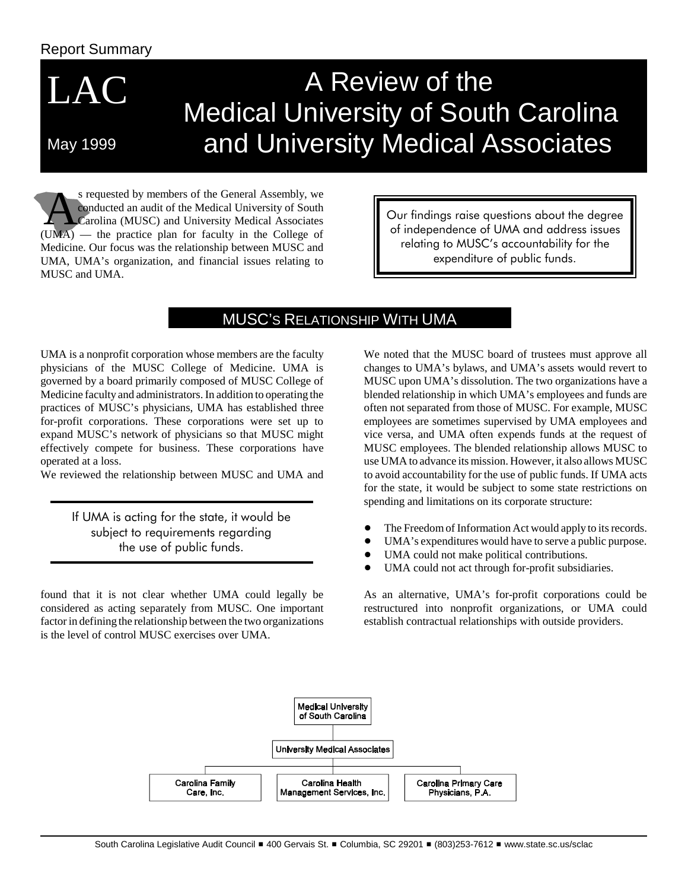### Report Summary

LAC

May 1999

# A Review of the Medical University of South Carolina and University Medical Associates

S requested by members of the General Assembly, we<br>
Carolina (MUSC) and University Medical Associates<br>
UMA) the practice plan for faculty in the College of conducted an audit of the Medical University of South (UMA) — the practice plan for faculty in the College of Medicine. Our focus was the relationship between MUSC and UMA, UMA's organization, and financial issues relating to MUSC and UMA.

Our findings raise questions about the degree of independence of UMA and address issues relating to MUSC's accountability for the expenditure of public funds.

# MUSC'S RELATIONSHIP WITH UMA

UMA is a nonprofit corporation whose members are the faculty physicians of the MUSC College of Medicine. UMA is governed by a board primarily composed of MUSC College of Medicine faculty and administrators. In addition to operating the practices of MUSC's physicians, UMA has established three for-profit corporations. These corporations were set up to expand MUSC's network of physicians so that MUSC might effectively compete for business. These corporations have operated at a loss.

We reviewed the relationship between MUSC and UMA and

If UMA is acting for the state, it would be subject to requirements regarding the use of public funds.

found that it is not clear whether UMA could legally be considered as acting separately from MUSC. One important factor in defining the relationship between the two organizations is the level of control MUSC exercises over UMA.

We noted that the MUSC board of trustees must approve all changes to UMA's bylaws, and UMA's assets would revert to MUSC upon UMA's dissolution. The two organizations have a blended relationship in which UMA's employees and funds are often not separated from those of MUSC. For example, MUSC employees are sometimes supervised by UMA employees and vice versa, and UMA often expends funds at the request of MUSC employees. The blended relationship allows MUSC to use UMA to advance its mission. However, it also allows MUSC to avoid accountability for the use of public funds. If UMA acts for the state, it would be subject to some state restrictions on spending and limitations on its corporate structure:

- -The Freedom of Information Act would apply to its records.
- $\bullet$ UMA's expenditures would have to serve a public purpose.
- -UMA could not make political contributions.
- -UMA could not act through for-profit subsidiaries.

As an alternative, UMA's for-profit corporations could be restructured into nonprofit organizations, or UMA could establish contractual relationships with outside providers.

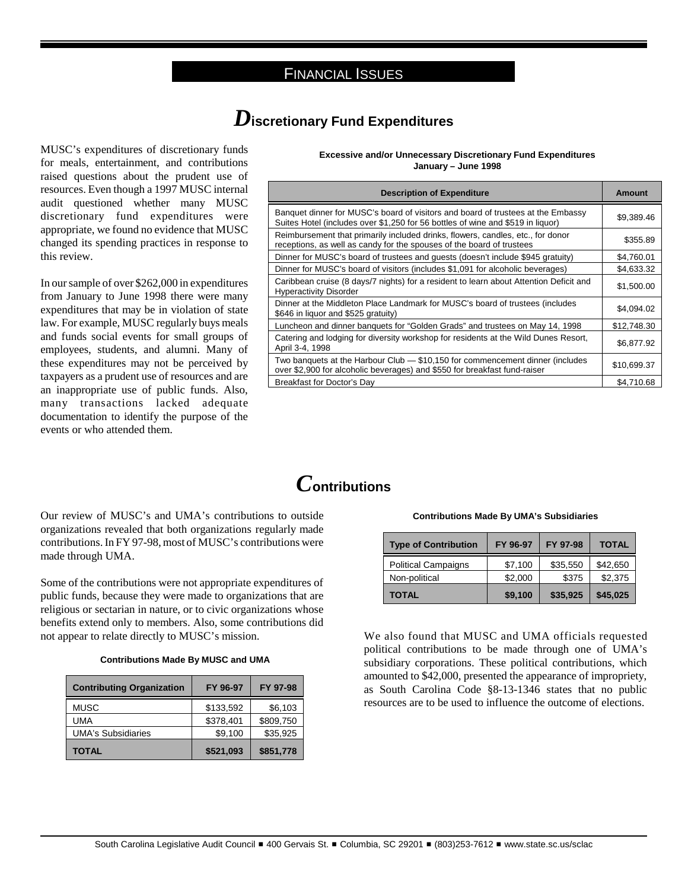#### FINANCIAL ISSUES

# *D***iscretionary Fund Expenditures**

MUSC's expenditures of discretionary funds for meals, entertainment, and contributions raised questions about the prudent use of resources. Even though a 1997 MUSC internal audit questioned whether many MUSC discretionary fund expenditures were appropriate, we found no evidence that MUSC changed its spending practices in response to this review.

In our sample of over \$262,000 in expenditures from January to June 1998 there were many expenditures that may be in violation of state law. For example, MUSC regularly buys meals and funds social events for small groups of employees, students, and alumni. Many of these expenditures may not be perceived by taxpayers as a prudent use of resources and are an inappropriate use of public funds. Also, many transactions lacked adequate documentation to identify the purpose of the events or who attended them.

Our review of MUSC's and UMA's contributions to outside organizations revealed that both organizations regularly made contributions. In FY 97-98, most of MUSC's contributions were made through UMA.

Some of the contributions were not appropriate expenditures of public funds, because they were made to organizations that are religious or sectarian in nature, or to civic organizations whose benefits extend only to members. Also, some contributions did not appear to relate directly to MUSC's mission. We also found that MUSC and UMA officials requested

**Contributions Made By MUSC and UMA**

| <b>Contributing Organization</b> | FY 96-97  | FY 97-98  |
|----------------------------------|-----------|-----------|
| <b>MUSC</b>                      | \$133,592 | \$6,103   |
| UMA                              | \$378,401 | \$809,750 |
| <b>UMA's Subsidiaries</b>        | \$9,100   | \$35,925  |
| <b>TOTAL</b>                     | \$521,093 | \$851,778 |

**Excessive and/or Unnecessary Discretionary Fund Expenditures January – June 1998**

| <b>Description of Expenditure</b>                                                                                                                                   | Amount      |
|---------------------------------------------------------------------------------------------------------------------------------------------------------------------|-------------|
| Banquet dinner for MUSC's board of visitors and board of trustees at the Embassy<br>Suites Hotel (includes over \$1,250 for 56 bottles of wine and \$519 in liquor) | \$9,389.46  |
| Reimbursement that primarily included drinks, flowers, candles, etc., for donor<br>receptions, as well as candy for the spouses of the board of trustees            | \$355.89    |
| Dinner for MUSC's board of trustees and guests (doesn't include \$945 gratuity)                                                                                     | \$4,760.01  |
| Dinner for MUSC's board of visitors (includes \$1,091 for alcoholic beverages)                                                                                      | \$4,633.32  |
| Caribbean cruise (8 days/7 nights) for a resident to learn about Attention Deficit and<br><b>Hyperactivity Disorder</b>                                             | \$1,500.00  |
| Dinner at the Middleton Place Landmark for MUSC's board of trustees (includes<br>\$646 in liquor and \$525 gratuity)                                                | \$4,094.02  |
| Luncheon and dinner banquets for "Golden Grads" and trustees on May 14, 1998                                                                                        | \$12.748.30 |
| Catering and lodging for diversity workshop for residents at the Wild Dunes Resort,<br>April 3-4, 1998                                                              | \$6,877.92  |
| Two banquets at the Harbour Club - \$10,150 for commencement dinner (includes<br>over \$2,900 for alcoholic beverages) and \$550 for breakfast fund-raiser          | \$10,699.37 |
| Breakfast for Doctor's Day                                                                                                                                          | \$4,710.68  |

# *C***ontributions**

#### **Contributions Made By UMA's Subsidiaries**

| <b>Type of Contribution</b> | FY 96-97 | FY 97-98 | <b>TOTAL</b> |
|-----------------------------|----------|----------|--------------|
| <b>Political Campaigns</b>  | \$7,100  | \$35,550 | \$42,650     |
| Non-political               | \$2.000  | \$375    | \$2,375      |
| TOTAL                       | \$9,100  | \$35,925 | \$45,025     |

political contributions to be made through one of UMA's subsidiary corporations. These political contributions, which amounted to \$42,000, presented the appearance of impropriety, as South Carolina Code §8-13-1346 states that no public resources are to be used to influence the outcome of elections.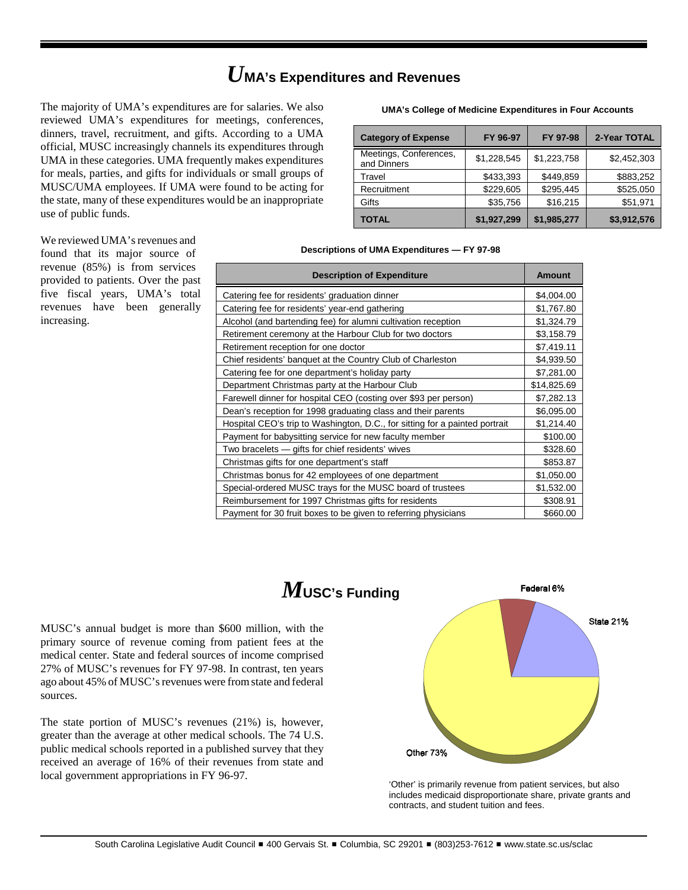# *U***MA's Expenditures and Revenues**

The majority of UMA's expenditures are for salaries. We also reviewed UMA's expenditures for meetings, conferences, dinners, travel, recruitment, and gifts. According to a UMA official, MUSC increasingly channels its expenditures through UMA in these categories. UMA frequently makes expenditures for meals, parties, and gifts for individuals or small groups of MUSC/UMA employees. If UMA were found to be acting for the state, many of these expenditures would be an inappropriate use of public funds.

We reviewed UMA's revenues and found that its major source of revenue (85%) is from services provided to patients. Over the past five fiscal years, UMA's total revenues have been generally increasing.

#### **UMA's College of Medicine Expenditures in Four Accounts**

| <b>Category of Expense</b>            | FY 96-97    | FY 97-98    | 2-Year TOTAL |
|---------------------------------------|-------------|-------------|--------------|
| Meetings, Conferences,<br>and Dinners | \$1,228,545 | \$1,223,758 | \$2,452,303  |
| Travel                                | \$433,393   | \$449,859   | \$883,252    |
| Recruitment                           | \$229,605   | \$295,445   | \$525,050    |
| Gifts                                 | \$35,756    | \$16,215    | \$51,971     |
| <b>TOTAL</b>                          | \$1,927,299 | \$1,985,277 | \$3,912,576  |

#### **Descriptions of UMA Expenditures — FY 97-98**

| <b>Description of Expenditure</b>                                           | <b>Amount</b> |
|-----------------------------------------------------------------------------|---------------|
| Catering fee for residents' graduation dinner                               | \$4,004.00    |
| Catering fee for residents' year-end gathering                              | \$1,767.80    |
| Alcohol (and bartending fee) for alumni cultivation reception               | \$1,324.79    |
| Retirement ceremony at the Harbour Club for two doctors                     | \$3,158.79    |
| Retirement reception for one doctor                                         | \$7,419.11    |
| Chief residents' banquet at the Country Club of Charleston                  | \$4,939.50    |
| Catering fee for one department's holiday party                             | \$7,281.00    |
| Department Christmas party at the Harbour Club                              | \$14,825.69   |
| Farewell dinner for hospital CEO (costing over \$93 per person)             | \$7,282.13    |
| Dean's reception for 1998 graduating class and their parents                | \$6,095.00    |
| Hospital CEO's trip to Washington, D.C., for sitting for a painted portrait | \$1,214.40    |
| Payment for babysitting service for new faculty member                      | \$100.00      |
| Two bracelets — gifts for chief residents' wives                            | \$328.60      |
| Christmas gifts for one department's staff                                  | \$853.87      |
| Christmas bonus for 42 employees of one department                          | \$1,050.00    |
| Special-ordered MUSC trays for the MUSC board of trustees                   | \$1,532.00    |
| Reimbursement for 1997 Christmas gifts for residents                        | \$308.91      |
| Payment for 30 fruit boxes to be given to referring physicians              | \$660.00      |

# *M***USC's Funding**

MUSC's annual budget is more than \$600 million, with the primary source of revenue coming from patient fees at the medical center. State and federal sources of income comprised 27% of MUSC's revenues for FY 97-98. In contrast, ten years ago about 45% of MUSC's revenues were from state and federal sources.

The state portion of MUSC's revenues (21%) is, however, greater than the average at other medical schools. The 74 U.S. public medical schools reported in a published survey that they received an average of 16% of their revenues from state and local government appropriations in FY 96-97.



'Other' is primarily revenue from patient services, but also includes medicaid disproportionate share, private grants and contracts, and student tuition and fees.